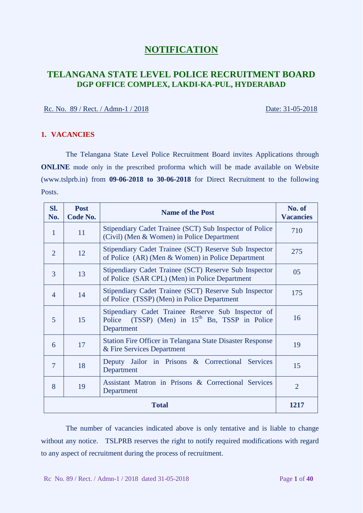# **NOTIFICATION**

# **TELANGANA STATE LEVEL POLICE RECRUITMENT BOARD DGP OFFICE COMPLEX, LAKDI-KA-PUL, HYDERABAD**

### Rc. No. 89 / Rect. / Admn-1 / 2018 Date: 31-05-2018

### **1. VACANCIES**

The Telangana State Level Police Recruitment Board invites Applications through **ONLINE** mode only in the prescribed proforma which will be made available on Website (www.tslprb.in) from **09-06-2018 to 30-06-2018** for Direct Recruitment to the following Posts.

| SI.<br>No.               | <b>Post</b><br>Code No. | <b>Name of the Post</b>                                                                                                   | No. of<br><b>Vacancies</b> |  |
|--------------------------|-------------------------|---------------------------------------------------------------------------------------------------------------------------|----------------------------|--|
| $\mathbf{1}$             | 11                      | Stipendiary Cadet Trainee (SCT) Sub Inspector of Police<br>(Civil) (Men & Women) in Police Department                     | 710                        |  |
| $\overline{2}$           | 12                      | Stipendiary Cadet Trainee (SCT) Reserve Sub Inspector<br>of Police (AR) (Men & Women) in Police Department                | 275                        |  |
| 3                        | 13                      | Stipendiary Cadet Trainee (SCT) Reserve Sub Inspector<br>of Police (SAR CPL) (Men) in Police Department                   | 05                         |  |
| $\overline{\mathcal{A}}$ | 14                      | Stipendiary Cadet Trainee (SCT) Reserve Sub Inspector<br>of Police (TSSP) (Men) in Police Department                      | 175                        |  |
| 5                        | 15                      | Stipendiary Cadet Trainee Reserve Sub Inspector of<br>$(TSSP)$ (Men) in $15th$ Bn, TSSP in Police<br>Police<br>Department | 16                         |  |
| 6                        | 17                      | <b>Station Fire Officer in Telangana State Disaster Response</b><br>& Fire Services Department                            | 19                         |  |
| $\overline{7}$           | 18                      | Deputy Jailor in Prisons & Correctional Services<br>Department                                                            | 15                         |  |
| 8                        | 19                      | Assistant Matron in Prisons & Correctional Services<br>Department                                                         | $\overline{2}$             |  |
|                          | <b>Total</b><br>1217    |                                                                                                                           |                            |  |

The number of vacancies indicated above is only tentative and is liable to change without any notice. TSLPRB reserves the right to notify required modifications with regard to any aspect of recruitment during the process of recruitment.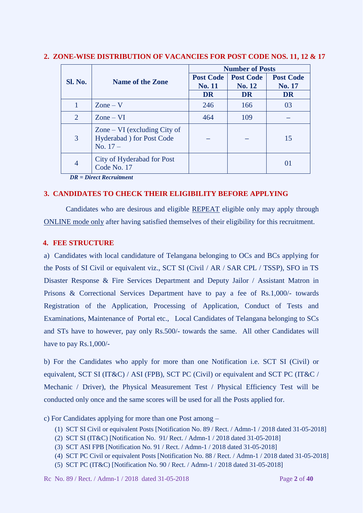|                | <b>Name of the Zone</b>                                                  | <b>Number of Posts</b>            |                            |                            |
|----------------|--------------------------------------------------------------------------|-----------------------------------|----------------------------|----------------------------|
| Sl. No.        |                                                                          | <b>Post Code</b><br><b>No. 11</b> | <b>Post Code</b><br>No. 12 | <b>Post Code</b><br>No. 17 |
|                |                                                                          | <b>DR</b>                         | <b>DR</b>                  | <b>DR</b>                  |
|                | $\text{Zone} - \text{V}$                                                 | 246                               | 166                        | 03                         |
| 2              | $\text{Zone} - \text{VI}$                                                | 464                               | 109                        |                            |
| 3              | Zone $-$ VI (excluding City of<br>Hyderabad ) for Post Code<br>No. $17-$ |                                   |                            | 15                         |
| $\overline{4}$ | City of Hyderabad for Post<br>Code No. 17                                |                                   |                            |                            |

### **2. ZONE-WISE DISTRIBUTION OF VACANCIES FOR POST CODE NOS. 11, 12 & 17**

*DR = Direct Recruitment* 

### **3. CANDIDATES TO CHECK THEIR ELIGIBILITY BEFORE APPLYING**

Candidates who are desirous and eligible REPEAT eligible only may apply through ONLINE mode only after having satisfied themselves of their eligibility for this recruitment.

#### **4. FEE STRUCTURE**

a) Candidates with local candidature of Telangana belonging to OCs and BCs applying for the Posts of SI Civil or equivalent viz., SCT SI (Civil / AR / SAR CPL / TSSP), SFO in TS Disaster Response & Fire Services Department and Deputy Jailor / Assistant Matron in Prisons & Correctional Services Department have to pay a fee of Rs.1,000/- towards Registration of the Application, Processing of Application, Conduct of Tests and Examinations, Maintenance of Portal etc., Local Candidates of Telangana belonging to SCs and STs have to however, pay only Rs.500/- towards the same. All other Candidates will have to pay Rs.1,000/-

b) For the Candidates who apply for more than one Notification i.e. SCT SI (Civil) or equivalent, SCT SI (IT&C) / ASI (FPB), SCT PC (Civil) or equivalent and SCT PC (IT&C / Mechanic / Driver), the Physical Measurement Test / Physical Efficiency Test will be conducted only once and the same scores will be used for all the Posts applied for.

c) For Candidates applying for more than one Post among –

- (1) SCT SI Civil or equivalent Posts [Notification No. 89 / Rect. / Admn-1 / 2018 dated 31-05-2018]
- (2) SCT SI (IT&C) [Notification No. 91/ Rect. / Admn-1 / 2018 dated 31-05-2018]
- (3) SCT ASI FPB [Notification No. 91 / Rect. / Admn-1 / 2018 dated 31-05-2018]
- (4) SCT PC Civil or equivalent Posts [Notification No. 88 / Rect. / Admn-1 / 2018 dated 31-05-2018]
- (5) SCT PC (IT&C) [Notification No. 90 / Rect. / Admn-1 / 2018 dated 31-05-2018]

Rc No. 89 / Rect. / Admn-1 / 2018 dated 31-05-2018 Page **2** of **40**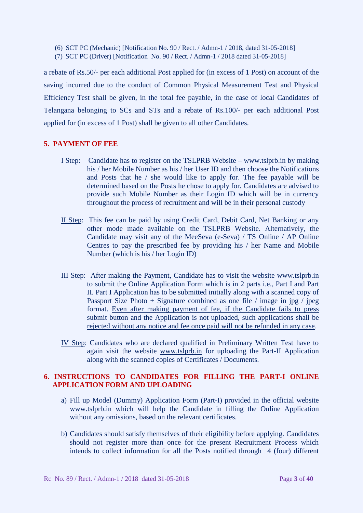- (6) SCT PC (Mechanic) [Notification No. 90 / Rect. / Admn-1 / 2018, dated 31-05-2018]
- (7) SCT PC (Driver) [Notification No. 90 / Rect. / Admn-1 / 2018 dated 31-05-2018]

a rebate of Rs.50/- per each additional Post applied for (in excess of 1 Post) on account of the saving incurred due to the conduct of Common Physical Measurement Test and Physical Efficiency Test shall be given, in the total fee payable, in the case of local Candidates of Telangana belonging to SCs and STs and a rebate of Rs.100/- per each additional Post applied for (in excess of 1 Post) shall be given to all other Candidates.

## **5. PAYMENT OF FEE**

- I Step: Candidate has to register on the TSLPRB Website [www.tslprb.in](http://www.tslprb.in/) by making his / her Mobile Number as his / her User ID and then choose the Notifications and Posts that he / she would like to apply for. The fee payable will be determined based on the Posts he chose to apply for. Candidates are advised to provide such Mobile Number as their Login ID which will be in currency throughout the process of recruitment and will be in their personal custody
- II Step: This fee can be paid by using Credit Card, Debit Card, Net Banking or any other mode made available on the TSLPRB Website. Alternatively, the Candidate may visit any of the MeeSeva (e-Seva) / TS Online / AP Online Centres to pay the prescribed fee by providing his / her Name and Mobile Number (which is his / her Login ID)
- III Step: After making the Payment, Candidate has to visit the website www.tslprb.in to submit the Online Application Form which is in 2 parts i.e., Part I and Part II. Part I Application has to be submitted initially along with a scanned copy of Passport Size Photo + Signature combined as one file  $\ell$  image in jpg  $\ell$  jpeg format. Even after making payment of fee, if the Candidate fails to press submit button and the Application is not uploaded, such applications shall be rejected without any notice and fee once paid will not be refunded in any case.
- IV Step: Candidates who are declared qualified in Preliminary Written Test have to again visit the website [www.tslprb.in](http://www.tslprb.in/) for uploading the Part-II Application along with the scanned copies of Certificates / Documents.

# **6. INSTRUCTIONS TO CANDIDATES FOR FILLING THE PART-I ONLINE APPLICATION FORM AND UPLOADING**

- a) Fill up Model (Dummy) Application Form (Part-I) provided in the official website [www.tslprb.in](http://www.tslprb.in/) which will help the Candidate in filling the Online Application without any omissions, based on the relevant certificates.
- b) Candidates should satisfy themselves of their eligibility before applying. Candidates should not register more than once for the present Recruitment Process which intends to collect information for all the Posts notified through 4 (four) different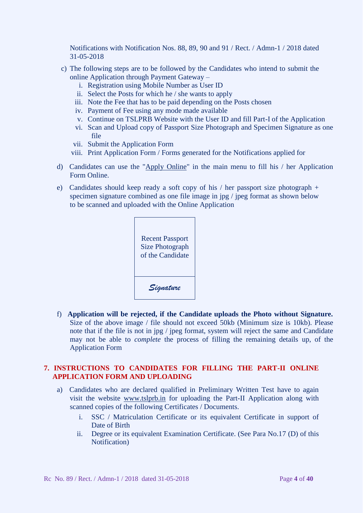Notifications with Notification Nos. 88, 89, 90 and 91 / Rect. / Admn-1 / 2018 dated 31-05-2018

- c) The following steps are to be followed by the Candidates who intend to submit the online Application through Payment Gateway –
	- i. Registration using Mobile Number as User ID
	- ii. Select the Posts for which he / she wants to apply
	- iii. Note the Fee that has to be paid depending on the Posts chosen
	- iv. Payment of Fee using any mode made available
	- v. Continue on TSLPRB Website with the User ID and fill Part-I of the Application
	- vi. Scan and Upload copy of Passport Size Photograph and Specimen Signature as one file
	- vii. Submit the Application Form
	- viii. Print Application Form / Forms generated for the Notifications applied for
- d)Candidates can use the "Apply Online" in the main menu to fill his / her Application Form Online.
- e) Candidates should keep ready a soft copy of his / her passport size photograph + specimen signature combined as one file image in jpg / jpeg format as shown below to be scanned and uploaded with the Online Application



f) **Application will be rejected, if the Candidate uploads the Photo without Signature.** Size of the above image / file should not exceed 50kb (Minimum size is 10kb). Please note that if the file is not in jpg / jpeg format, system will reject the same and Candidate may not be able to *complete* the process of filling the remaining details up, of the Application Form

# **7. INSTRUCTIONS TO CANDIDATES FOR FILLING THE PART-II ONLINE APPLICATION FORM AND UPLOADING**

- a) Candidates who are declared qualified in Preliminary Written Test have to again visit the website [www.tslprb.in](http://www.tslprb.in/) for uploading the Part-II Application along with scanned copies of the following Certificates / Documents.
	- i. SSC / Matriculation Certificate or its equivalent Certificate in support of Date of Birth
	- ii. Degree or its equivalent Examination Certificate. (See Para No.17 (D) of this Notification)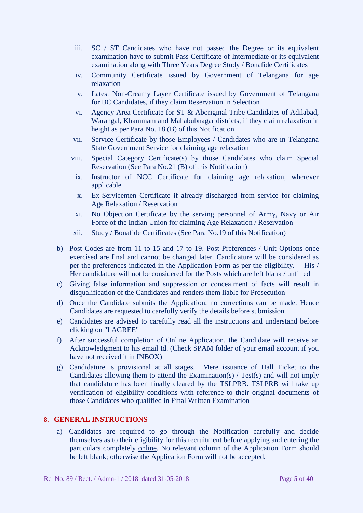- iii. SC / ST Candidates who have not passed the Degree or its equivalent examination have to submit Pass Certificate of Intermediate or its equivalent examination along with Three Years Degree Study / Bonafide Certificates
- iv. Community Certificate issued by Government of Telangana for age relaxation
- v. Latest Non-Creamy Layer Certificate issued by Government of Telangana for BC Candidates, if they claim Reservation in Selection
- vi. Agency Area Certificate for ST & Aboriginal Tribe Candidates of Adilabad, Warangal, Khammam and Mahabubnagar districts, if they claim relaxation in height as per Para No. 18 (B) of this Notification
- vii. Service Certificate by those Employees / Candidates who are in Telangana State Government Service for claiming age relaxation
- viii. Special Category Certificate(s) by those Candidates who claim Special Reservation (See Para No.21 (B) of this Notification)
	- ix. Instructor of NCC Certificate for claiming age relaxation, wherever applicable
	- x. Ex-Servicemen Certificate if already discharged from service for claiming Age Relaxation / Reservation
- xi. No Objection Certificate by the serving personnel of Army, Navy or Air Force of the Indian Union for claiming Age Relaxation / Reservation
- xii. Study / Bonafide Certificates (See Para No.19 of this Notification)
- b) Post Codes are from 11 to 15 and 17 to 19. Post Preferences / Unit Options once exercised are final and cannot be changed later. Candidature will be considered as per the preferences indicated in the Application Form as per the eligibility. His / Her candidature will not be considered for the Posts which are left blank / unfilled
- c) Giving false information and suppression or concealment of facts will result in disqualification of the Candidates and renders them liable for Prosecution
- d) Once the Candidate submits the Application, no corrections can be made. Hence Candidates are requested to carefully verify the details before submission
- e) Candidates are advised to carefully read all the instructions and understand before clicking on "I AGREE"
- f) After successful completion of Online Application, the Candidate will receive an Acknowledgment to his email Id. (Check SPAM folder of your email account if you have not received it in INBOX)
- g) Candidature is provisional at all stages. Mere issuance of Hall Ticket to the Candidates allowing them to attend the Examination(s) / Test(s) and will not imply that candidature has been finally cleared by the TSLPRB. TSLPRB will take up verification of eligibility conditions with reference to their original documents of those Candidates who qualified in Final Written Examination

# **8. GENERAL INSTRUCTIONS**

a) Candidates are required to go through the Notification carefully and decide themselves as to their eligibility for this recruitment before applying and entering the particulars completely online. No relevant column of the Application Form should be left blank; otherwise the Application Form will not be accepted.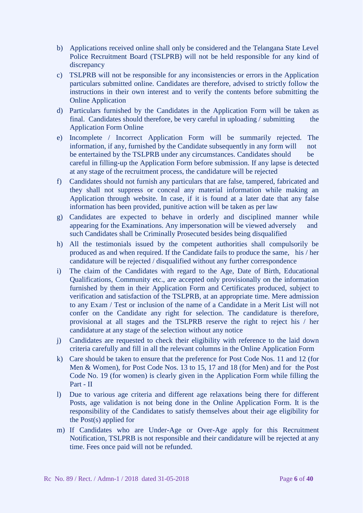- b) Applications received online shall only be considered and the Telangana State Level Police Recruitment Board (TSLPRB) will not be held responsible for any kind of discrepancy
- c) TSLPRB will not be responsible for any inconsistencies or errors in the Application particulars submitted online. Candidates are therefore, advised to strictly follow the instructions in their own interest and to verify the contents before submitting the Online Application
- d) Particulars furnished by the Candidates in the Application Form will be taken as final. Candidates should therefore, be very careful in uploading / submitting the Application Form Online
- e) Incomplete / Incorrect Application Form will be summarily rejected. The information, if any, furnished by the Candidate subsequently in any form will not be entertained by the TSLPRB under any circumstances. Candidates should be careful in filling-up the Application Form before submission. If any lapse is detected at any stage of the recruitment process, the candidature will be rejected
- f) Candidates should not furnish any particulars that are false, tampered, fabricated and they shall not suppress or conceal any material information while making an Application through website. In case, if it is found at a later date that any false information has been provided, punitive action will be taken as per law
- g) Candidates are expected to behave in orderly and disciplined manner while appearing for the Examinations. Any impersonation will be viewed adversely and such Candidates shall be Criminally Prosecuted besides being disqualified
- h) All the testimonials issued by the competent authorities shall compulsorily be produced as and when required. If the Candidate fails to produce the same, his / her candidature will be rejected / disqualified without any further correspondence
- i) The claim of the Candidates with regard to the Age, Date of Birth, Educational Qualifications, Community etc., are accepted only provisionally on the information furnished by them in their Application Form and Certificates produced, subject to verification and satisfaction of the TSLPRB, at an appropriate time. Mere admission to any Exam / Test or inclusion of the name of a Candidate in a Merit List will not confer on the Candidate any right for selection. The candidature is therefore, provisional at all stages and the TSLPRB reserve the right to reject his / her candidature at any stage of the selection without any notice
- j) Candidates are requested to check their eligibility with reference to the laid down criteria carefully and fill in all the relevant columns in the Online Application Form
- k) Care should be taken to ensure that the preference for Post Code Nos. 11 and 12 (for Men & Women), for Post Code Nos. 13 to 15, 17 and 18 (for Men) and for the Post Code No. 19 (for women) is clearly given in the Application Form while filling the Part - II
- l) Due to various age criteria and different age relaxations being there for different Posts, age validation is not being done in the Online Application Form. It is the responsibility of the Candidates to satisfy themselves about their age eligibility for the Post(s) applied for
- m) If Candidates who are Under-Age or Over-Age apply for this Recruitment Notification, TSLPRB is not responsible and their candidature will be rejected at any time. Fees once paid will not be refunded.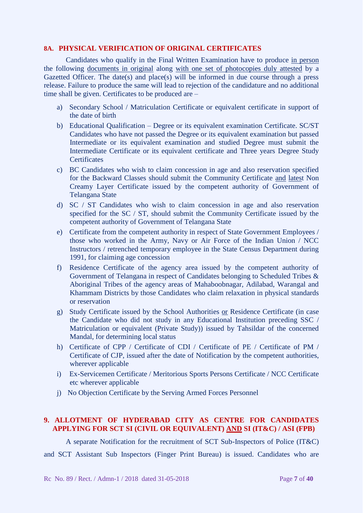### **8A. PHYSICAL VERIFICATION OF ORIGINAL CERTIFICATES**

Candidates who qualify in the Final Written Examination have to produce in person the following documents in original along with one set of photocopies duly attested by a Gazetted Officer. The date(s) and place(s) will be informed in due course through a press release. Failure to produce the same will lead to rejection of the candidature and no additional time shall be given. Certificates to be produced are -

- a) Secondary School / Matriculation Certificate or equivalent certificate in support of the date of birth
- b) Educational Qualification Degree or its equivalent examination Certificate. SC/ST Candidates who have not passed the Degree or its equivalent examination but passed Intermediate or its equivalent examination and studied Degree must submit the Intermediate Certificate or its equivalent certificate and Three years Degree Study **Certificates**
- c) BC Candidates who wish to claim concession in age and also reservation specified for the Backward Classes should submit the Community Certificate and latest Non Creamy Layer Certificate issued by the competent authority of Government of Telangana State
- d) SC / ST Candidates who wish to claim concession in age and also reservation specified for the SC / ST, should submit the Community Certificate issued by the competent authority of Government of Telangana State
- e) Certificate from the competent authority in respect of State Government Employees / those who worked in the Army, Navy or Air Force of the Indian Union / NCC Instructors / retrenched temporary employee in the State Census Department during 1991, for claiming age concession
- f) Residence Certificate of the agency area issued by the competent authority of Government of Telangana in respect of Candidates belonging to Scheduled Tribes & Aboriginal Tribes of the agency areas of Mahaboobnagar, Adilabad, Warangal and Khammam Districts by those Candidates who claim relaxation in physical standards or reservation
- g) Study Certificate issued by the School Authorities or Residence Certificate (in case the Candidate who did not study in any Educational Institution preceding SSC / Matriculation or equivalent (Private Study)) issued by Tahsildar of the concerned Mandal, for determining local status
- h) Certificate of CPP / Certificate of CDI / Certificate of PE / Certificate of PM / Certificate of CJP, issued after the date of Notification by the competent authorities, wherever applicable
- i) Ex-Servicemen Certificate / Meritorious Sports Persons Certificate / NCC Certificate etc wherever applicable
- j) No Objection Certificate by the Serving Armed Forces Personnel

# **9. ALLOTMENT OF HYDERABAD CITY AS CENTRE FOR CANDIDATES APPLYING FOR SCT SI (CIVIL OR EQUIVALENT) AND SI (IT&C) / ASI (FPB)**

 A separate Notification for the recruitment of SCT Sub-Inspectors of Police (IT&C) and SCT Assistant Sub Inspectors (Finger Print Bureau) is issued. Candidates who are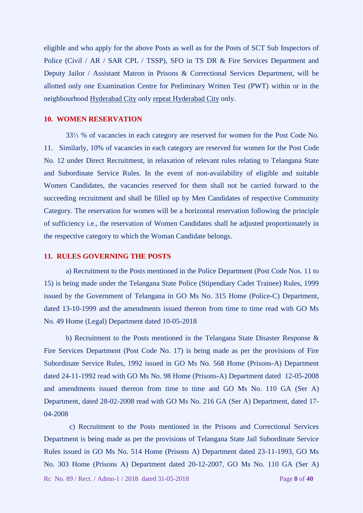eligible and who apply for the above Posts as well as for the Posts of SCT Sub Inspectors of Police (Civil / AR / SAR CPL / TSSP), SFO in TS DR & Fire Services Department and Deputy Jailor / Assistant Matron in Prisons & Correctional Services Department, will be allotted only one Examination Centre for Preliminary Written Test (PWT) within or in the neighbourhood Hyderabad City only repeat Hyderabad City only.

### **10. WOMEN RESERVATION**

33⅓ % of vacancies in each category are reserved for women for the Post Code No. 11. Similarly, 10% of vacancies in each category are reserved for women for the Post Code No. 12 under Direct Recruitment, in relaxation of relevant rules relating to Telangana State and Subordinate Service Rules. In the event of non-availability of eligible and suitable Women Candidates, the vacancies reserved for them shall not be carried forward to the succeeding recruitment and shall be filled up by Men Candidates of respective Community Category. The reservation for women will be a horizontal reservation following the principle of sufficiency i.e., the reservation of Women Candidates shall be adjusted proportionately in the respective category to which the Woman Candidate belongs.

#### **11. RULES GOVERNING THE POSTS**

a) Recruitment to the Posts mentioned in the Police Department (Post Code Nos. 11 to 15) is being made under the Telangana State Police (Stipendiary Cadet Trainee) Rules, 1999 issued by the Government of Telangana in GO Ms No. 315 Home (Police-C) Department, dated 13-10-1999 and the amendments issued thereon from time to time read with GO Ms No. 49 Home (Legal) Department dated 10-05-2018

b) Recruitment to the Posts mentioned in the Telangana State Disaster Response & Fire Services Department (Post Code No. 17) is being made as per the provisions of Fire Subordinate Service Rules, 1992 issued in GO Ms No. 568 Home (Prisons-A) Department dated 24-11-1992 read with GO Ms No. 98 Home (Prisons-A) Department dated 12-05-2008 and amendments issued thereon from time to time and GO Ms No. 110 GA (Ser A) Department, dated 28-02-2008 read with GO Ms No. 216 GA (Ser A) Department, dated 17- 04-2008

 c) Recruitment to the Posts mentioned in the Prisons and Correctional Services Department is being made as per the provisions of Telangana State Jail Subordinate Service Rules issued in GO Ms No. 514 Home (Prisons A) Department dated 23-11-1993, GO Ms No. 303 Home (Prisons A) Department dated 20-12-2007, GO Ms No. 110 GA (Ser A)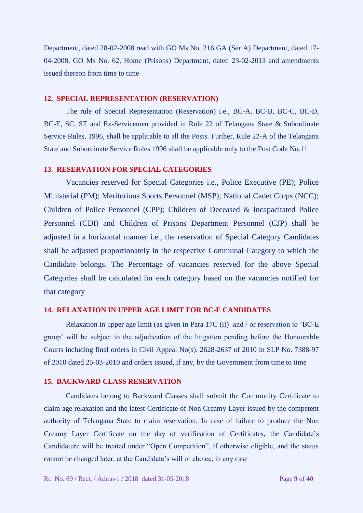Department, dated 28-02-2008 read with GO Ms No. 216 GA (Ser A) Department, dated 17- 04-2008, GO Ms No. 62, Home (Prisons) Department, dated 23-02-2013 and amendments issued thereon from time to time

### **12. SPECIAL REPRESENTATION (RESERVATION)**

The rule of Special Representation (Reservation) i.e., BC-A, BC-B, BC-C, BC-D, BC-E, SC, ST and Ex-Servicemen provided in Rule 22 of Telangana State & Subordinate Service Rules, 1996, shall be applicable to all the Posts. Further, Rule 22-A of the Telangana State and Subordinate Service Rules 1996 shall be applicable only to the Post Code No.11

### **13. RESERVATION FOR SPECIAL CATEGORIES**

Vacancies reserved for Special Categories i.e., Police Executive (PE); Police Ministerial (PM); Meritorious Sports Personnel (MSP); National Cadet Corps (NCC); Children of Police Personnel (CPP); Children of Deceased & Incapacitated Police Personnel (CDI) and Children of Prisons Department Personnel (CJP) shall be adjusted in a horizontal manner i.e., the reservation of Special Category Candidates shall be adjusted proportionately in the respective Communal Category to which the Candidate belongs. The Percentage of vacancies reserved for the above Special Categories shall be calculated for each category based on the vacancies notified for that category

## **14. RELAXATION IN UPPER AGE LIMIT FOR BC-E CANDIDATES**

Relaxation in upper age limit (as given in Para 17C (i)) and / or reservation to 'BC-E group' will be subject to the adjudication of the litigation pending before the Honourable Courts including final orders in Civil Appeal No(s). 2628-2637 of 2010 in SLP No. 7388-97 of 2010 dated 25-03-2010 and orders issued, if any, by the Government from time to time

#### **15. BACKWARD CLASS RESERVATION**

Candidates belong to Backward Classes shall submit the Community Certificate to claim age relaxation and the latest Certificate of Non Creamy Layer issued by the competent authority of Telangana State to claim reservation. In case of failure to produce the Non Creamy Layer Certificate on the day of verification of Certificates, the Candidate's Candidature will be treated under "Open Competition", if otherwise eligible, and the status cannot be changed later, at the Candidate's will or choice, in any case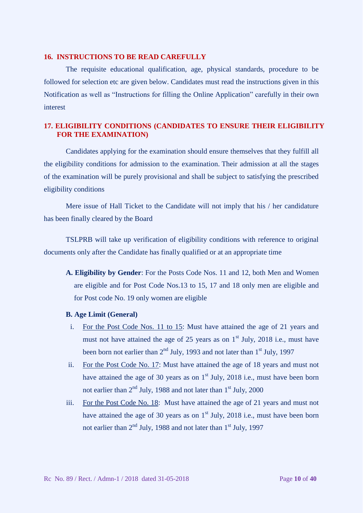### **16. INSTRUCTIONS TO BE READ CAREFULLY**

The requisite educational qualification, age, physical standards, procedure to be followed for selection etc are given below. Candidates must read the instructions given in this Notification as well as "Instructions for filling the Online Application" carefully in their own interest

# **17. ELIGIBILITY CONDITIONS (CANDIDATES TO ENSURE THEIR ELIGIBILITY FOR THE EXAMINATION)**

Candidates applying for the examination should ensure themselves that they fulfill all the eligibility conditions for admission to the examination. Their admission at all the stages of the examination will be purely provisional and shall be subject to satisfying the prescribed eligibility conditions

Mere issue of Hall Ticket to the Candidate will not imply that his / her candidature has been finally cleared by the Board

TSLPRB will take up verification of eligibility conditions with reference to original documents only after the Candidate has finally qualified or at an appropriate time

- **A. Eligibility by Gender**: For the Posts Code Nos. 11 and 12, both Men and Women are eligible and for Post Code Nos.13 to 15, 17 and 18 only men are eligible and for Post code No. 19 only women are eligible
- **B. Age Limit (General)**
- i. For the Post Code Nos. 11 to 15: Must have attained the age of 21 years and must not have attained the age of 25 years as on  $1<sup>st</sup>$  July, 2018 i.e., must have been born not earlier than  $2<sup>nd</sup>$  July, 1993 and not later than  $1<sup>st</sup>$  July, 1997
- ii. For the Post Code No. 17: Must have attained the age of 18 years and must not have attained the age of 30 years as on  $1<sup>st</sup>$  July, 2018 i.e., must have been born not earlier than  $2<sup>nd</sup>$  July, 1988 and not later than  $1<sup>st</sup>$  July, 2000
- iii. For the Post Code No. 18:Must have attained the age of 21 years and must not have attained the age of 30 years as on  $1<sup>st</sup>$  July, 2018 i.e., must have been born not earlier than  $2<sup>nd</sup>$  July, 1988 and not later than  $1<sup>st</sup>$  July, 1997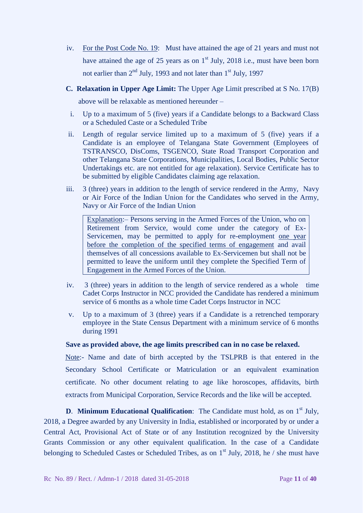- iv. For the Post Code No. 19:Must have attained the age of 21 years and must not have attained the age of 25 years as on  $1<sup>st</sup>$  July, 2018 i.e., must have been born not earlier than  $2<sup>nd</sup>$  July, 1993 and not later than  $1<sup>st</sup>$  July, 1997
- **C. Relaxation in Upper Age Limit:** The Upper Age Limit prescribed at S No. 17(B) above will be relaxable as mentioned hereunder –
	- i. Up to a maximum of 5 (five) years if a Candidate belongs to a Backward Class or a Scheduled Caste or a Scheduled Tribe
- ii. Length of regular service limited up to a maximum of 5 (five) years if a Candidate is an employee of Telangana State Government (Employees of TSTRANSCO, DisComs, TSGENCO, State Road Transport Corporation and other Telangana State Corporations, Municipalities, Local Bodies, Public Sector Undertakings etc. are not entitled for age relaxation). Service Certificate has to be submitted by eligible Candidates claiming age relaxation.
- iii. 3 (three) years in addition to the length of service rendered in the Army, Navy or Air Force of the Indian Union for the Candidates who served in the Army, Navy or Air Force of the Indian Union

Explanation:– Persons serving in the Armed Forces of the Union, who on Retirement from Service, would come under the category of Ex-Servicemen, may be permitted to apply for re-employment one year before the completion of the specified terms of engagement and avail themselves of all concessions available to Ex-Servicemen but shall not be permitted to leave the uniform until they complete the Specified Term of Engagement in the Armed Forces of the Union.

- iv. 3 (three) years in addition to the length of service rendered as a whole time Cadet Corps Instructor in NCC provided the Candidate has rendered a minimum service of 6 months as a whole time Cadet Corps Instructor in NCC
- v. Up to a maximum of 3 (three) years if a Candidate is a retrenched temporary employee in the State Census Department with a minimum service of 6 months during 1991

## **Save as provided above, the age limits prescribed can in no case be relaxed.**

Note:- Name and date of birth accepted by the TSLPRB is that entered in the Secondary School Certificate or Matriculation or an equivalent examination certificate. No other document relating to age like horoscopes, affidavits, birth extracts from Municipal Corporation, Service Records and the like will be accepted.

**D. Minimum Educational Qualification:** The Candidate must hold, as on 1<sup>st</sup> July, 2018, a Degree awarded by any University in India, established or incorporated by or under a Central Act, Provisional Act of State or of any Institution recognized by the University Grants Commission or any other equivalent qualification. In the case of a Candidate belonging to Scheduled Castes or Scheduled Tribes, as on  $1<sup>st</sup>$  July, 2018, he / she must have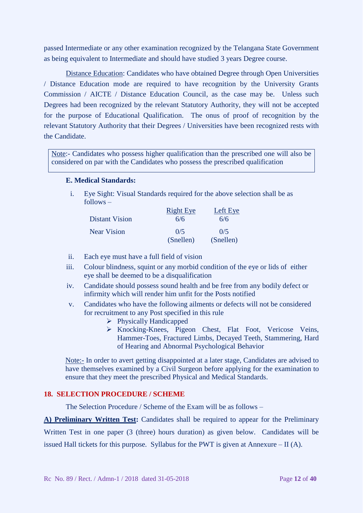passed Intermediate or any other examination recognized by the Telangana State Government as being equivalent to Intermediate and should have studied 3 years Degree course.

Distance Education: Candidates who have obtained Degree through Open Universities / Distance Education mode are required to have recognition by the University Grants Commission / AICTE / Distance Education Council, as the case may be. Unless such Degrees had been recognized by the relevant Statutory Authority, they will not be accepted for the purpose of Educational Qualification. The onus of proof of recognition by the relevant Statutory Authority that their Degrees / Universities have been recognized rests with the Candidate.

Note:- Candidates who possess higher qualification than the prescribed one will also be considered on par with the Candidates who possess the prescribed qualification

#### **E. Medical Standards:**

i. Eye Sight: Visual Standards required for the above selection shall be as follows –

|                       | <b>Right Eye</b> | Left Eye  |
|-----------------------|------------------|-----------|
| <b>Distant Vision</b> | 6/6              | 6/6       |
| <b>Near Vision</b>    | 0/5              | 0/5       |
|                       | (Snellen)        | (Snellen) |

- ii. Each eye must have a full field of vision
- iii. Colour blindness, squint or any morbid condition of the eye or lids of either eye shall be deemed to be a disqualification
- iv. Candidate should possess sound health and be free from any bodily defect or infirmity which will render him unfit for the Posts notified
- v. Candidates who have the following ailments or defects will not be considered for recruitment to any Post specified in this rule
	- **Physically Handicapped**
	- Knocking-Knees, Pigeon Chest, Flat Foot, Vericose Veins, Hammer-Toes, Fractured Limbs, Decayed Teeth, Stammering, Hard of Hearing and Abnormal Psychological Behavior

Note:- In order to avert getting disappointed at a later stage, Candidates are advised to have themselves examined by a Civil Surgeon before applying for the examination to ensure that they meet the prescribed Physical and Medical Standards.

# **18. SELECTION PROCEDURE / SCHEME**

The Selection Procedure / Scheme of the Exam will be as follows –

**A) Preliminary Written Test:** Candidates shall be required to appear for the Preliminary Written Test in one paper (3 (three) hours duration) as given below. Candidates will be issued Hall tickets for this purpose. Syllabus for the PWT is given at Annexure  $-$  II (A).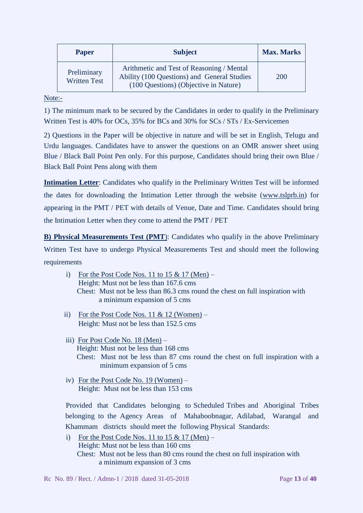| <b>Paper</b>                       | <b>Subject</b>                                                                                                                    | <b>Max. Marks</b> |
|------------------------------------|-----------------------------------------------------------------------------------------------------------------------------------|-------------------|
| Preliminary<br><b>Written Test</b> | Arithmetic and Test of Reasoning / Mental<br>Ability (100 Questions) and General Studies<br>(100 Questions) (Objective in Nature) | <b>200</b>        |

Note:-

1) The minimum mark to be secured by the Candidates in order to qualify in the Preliminary Written Test is 40% for OCs, 35% for BCs and 30% for SCs / STs / Ex-Servicemen

2) Questions in the Paper will be objective in nature and will be set in English, Telugu and Urdu languages. Candidates have to answer the questions on an OMR answer sheet using Blue / Black Ball Point Pen only. For this purpose, Candidates should bring their own Blue / Black Ball Point Pens along with them

**Intimation Letter**: Candidates who qualify in the Preliminary Written Test will be informed the dates for downloading the Intimation Letter through the website [\(www.tslprb.in\)](http://www.tslprb.in/) for appearing in the PMT / PET with details of Venue, Date and Time. Candidates should bring the Intimation Letter when they come to attend the PMT / PET

**B) Physical Measurements Test (PMT**): Candidates who qualify in the above Preliminary Written Test have to undergo Physical Measurements Test and should meet the following requirements

- i) For the Post Code Nos. 11 to  $15 \& 17 \text{ (Men)} -$ Height: Must not be less than 167.6 cms Chest: Must not be less than 86.3 cms round the chest on full inspiration with a minimum expansion of 5 cms
- ii) For the Post Code Nos.  $11 \& 12$  (Women) Height: Must not be less than 152.5 cms
- iii) For Post Code No. 18 (Men) Height: Must not be less than 168 cms Chest: Must not be less than 87 cms round the chest on full inspiration with a minimum expansion of 5 cms
- iv) For the Post Code No. 19 (Women) Height: Must not be less than 153 cms

Provided that Candidates belonging to Scheduled Tribes and Aboriginal Tribes belonging to the Agency Areas of Mahaboobnagar, Adilabad, Warangal and Khammam districts should meet the following Physical Standards:

i) For the Post Code Nos. 11 to  $15 \& 17 \text{ (Men)} -$ Height: Must not be less than 160 cms Chest: Must not be less than 80 cms round the chest on full inspiration with a minimum expansion of 3 cms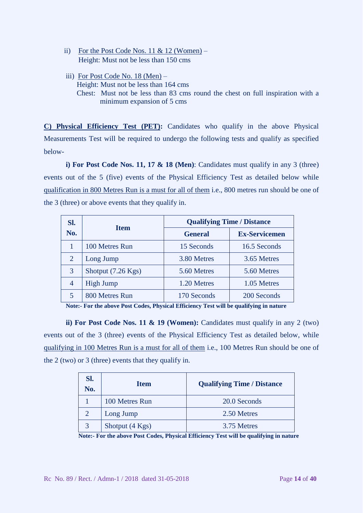- ii) For the Post Code Nos. 11 & 12 (Women) Height: Must not be less than 150 cms
- iii) For Post Code No. 18 (Men) Height: Must not be less than 164 cms Chest: Must not be less than 83 cms round the chest on full inspiration with a minimum expansion of 5 cms

**C) Physical Efficiency Test (PET):** Candidates who qualify in the above Physical Measurements Test will be required to undergo the following tests and qualify as specified below-

**i) For Post Code Nos. 11, 17 & 18 (Men)**: Candidates must qualify in any 3 (three) events out of the 5 (five) events of the Physical Efficiency Test as detailed below while qualification in 800 Metres Run is a must for all of them i.e., 800 metres run should be one of the 3 (three) or above events that they qualify in.

| SI.            | <b>Item</b>        | <b>Qualifying Time / Distance</b> |                      |  |
|----------------|--------------------|-----------------------------------|----------------------|--|
| No.            |                    | <b>General</b>                    | <b>Ex-Servicemen</b> |  |
|                | 100 Metres Run     | 15 Seconds                        | 16.5 Seconds         |  |
| 2              | Long Jump          | 3.80 Metres                       | 3.65 Metres          |  |
| 3              | Shotput (7.26 Kgs) | 5.60 Metres                       | 5.60 Metres          |  |
| $\overline{4}$ | <b>High Jump</b>   | 1.20 Metres                       | 1.05 Metres          |  |
|                | 800 Metres Run     | 170 Seconds                       | 200 Seconds          |  |

**Note:- For the above Post Codes, Physical Efficiency Test will be qualifying in nature**

**ii) For Post Code Nos. 11 & 19 (Women):** Candidates must qualify in any 2 (two) events out of the 3 (three) events of the Physical Efficiency Test as detailed below, while qualifying in 100 Metres Run is a must for all of them i.e., 100 Metres Run should be one of the 2 (two) or 3 (three) events that they qualify in.

| SI.<br>No. | <b>Item</b>     | <b>Qualifying Time / Distance</b> |
|------------|-----------------|-----------------------------------|
|            | 100 Metres Run  | 20.0 Seconds                      |
|            | Long Jump       | 2.50 Metres                       |
|            | Shotput (4 Kgs) | 3.75 Metres                       |

**Note:- For the above Post Codes, Physical Efficiency Test will be qualifying in nature**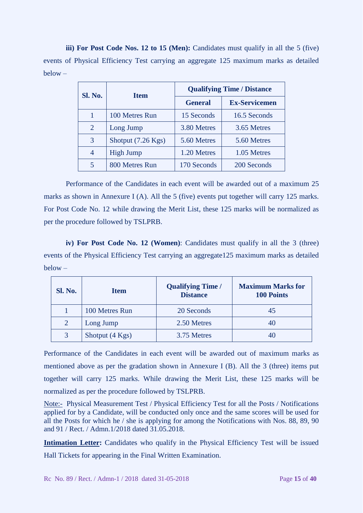**iii) For Post Code Nos. 12 to 15 (Men):** Candidates must qualify in all the 5 (five) events of Physical Efficiency Test carrying an aggregate 125 maximum marks as detailed below –

| <b>Sl. No.</b> | <b>Item</b>                  | <b>Qualifying Time / Distance</b> |                      |  |
|----------------|------------------------------|-----------------------------------|----------------------|--|
|                |                              | <b>General</b>                    | <b>Ex-Servicemen</b> |  |
|                | 100 Metres Run               | 15 Seconds                        | 16.5 Seconds         |  |
| 2              | Long Jump                    | 3.80 Metres                       | 3.65 Metres          |  |
| 3              | Shotput $(7.26 \text{ Kgs})$ | 5.60 Metres                       | 5.60 Metres          |  |
| 4              | <b>High Jump</b>             | 1.20 Metres                       | 1.05 Metres          |  |
| 5              | 800 Metres Run               | 170 Seconds                       | 200 Seconds          |  |

Performance of the Candidates in each event will be awarded out of a maximum 25 marks as shown in Annexure I (A). All the 5 (five) events put together will carry 125 marks. For Post Code No. 12 while drawing the Merit List, these 125 marks will be normalized as per the procedure followed by TSLPRB.

 **iv) For Post Code No. 12 (Women)**: Candidates must qualify in all the 3 (three) events of the Physical Efficiency Test carrying an aggregate125 maximum marks as detailed below –

| Sl. No. | <b>Item</b>     | <b>Qualifying Time /</b><br><b>Distance</b> | <b>Maximum Marks for</b><br><b>100 Points</b> |
|---------|-----------------|---------------------------------------------|-----------------------------------------------|
|         | 100 Metres Run  | 20 Seconds                                  |                                               |
|         | Long Jump       | 2.50 Metres                                 |                                               |
| 3       | Shotput (4 Kgs) | 3.75 Metres                                 |                                               |

Performance of the Candidates in each event will be awarded out of maximum marks as mentioned above as per the gradation shown in Annexure I (B). All the 3 (three) items put together will carry 125 marks. While drawing the Merit List, these 125 marks will be normalized as per the procedure followed by TSLPRB.

Note:- Physical Measurement Test / Physical Efficiency Test for all the Posts / Notifications applied for by a Candidate, will be conducted only once and the same scores will be used for all the Posts for which he / she is applying for among the Notifications with Nos. 88, 89, 90 and 91 / Rect. / Admn.1/2018 dated 31.05.2018.

**Intimation Letter:** Candidates who qualify in the Physical Efficiency Test will be issued Hall Tickets for appearing in the Final Written Examination.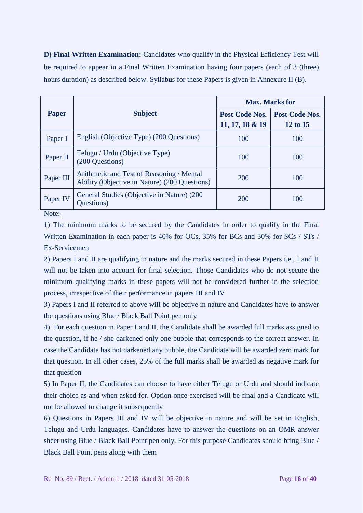**D) Final Written Examination:** Candidates who qualify in the Physical Efficiency Test will be required to appear in a Final Written Examination having four papers (each of 3 (three) hours duration) as described below. Syllabus for these Papers is given in Annexure II (B).

|                                                                                            | <b>Max. Marks for</b> |                |  |
|--------------------------------------------------------------------------------------------|-----------------------|----------------|--|
| <b>Subject</b>                                                                             | Post Code Nos.        | Post Code Nos. |  |
|                                                                                            | 11, 17, 18 & 19       | 12 to 15       |  |
| English (Objective Type) (200 Questions)                                                   | 100                   | 100            |  |
| Telugu / Urdu (Objective Type)<br>(200 Questions)                                          | 100                   | 100            |  |
| Arithmetic and Test of Reasoning / Mental<br>Ability (Objective in Nature) (200 Questions) | 200                   | 100            |  |
| General Studies (Objective in Nature) (200<br>Questions)                                   | 200                   | 100            |  |
|                                                                                            |                       |                |  |

Note:-

1) The minimum marks to be secured by the Candidates in order to qualify in the Final Written Examination in each paper is 40% for OCs, 35% for BCs and 30% for SCs / STs / Ex-Servicemen

2) Papers I and II are qualifying in nature and the marks secured in these Papers i.e., I and II will not be taken into account for final selection. Those Candidates who do not secure the minimum qualifying marks in these papers will not be considered further in the selection process, irrespective of their performance in papers III and IV

3) Papers I and II referred to above will be objective in nature and Candidates have to answer the questions using Blue / Black Ball Point pen only

4) For each question in Paper I and II, the Candidate shall be awarded full marks assigned to the question, if he / she darkened only one bubble that corresponds to the correct answer. In case the Candidate has not darkened any bubble, the Candidate will be awarded zero mark for that question. In all other cases, 25% of the full marks shall be awarded as negative mark for that question

5) In Paper II, the Candidates can choose to have either Telugu or Urdu and should indicate their choice as and when asked for. Option once exercised will be final and a Candidate will not be allowed to change it subsequently

6) Questions in Papers III and IV will be objective in nature and will be set in English, Telugu and Urdu languages. Candidates have to answer the questions on an OMR answer sheet using Blue / Black Ball Point pen only. For this purpose Candidates should bring Blue / Black Ball Point pens along with them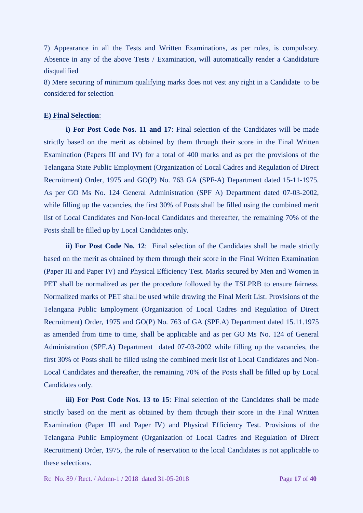7) Appearance in all the Tests and Written Examinations, as per rules, is compulsory. Absence in any of the above Tests / Examination, will automatically render a Candidature disqualified

8) Mere securing of minimum qualifying marks does not vest any right in a Candidate to be considered for selection

### **E) Final Selection**:

**i) For Post Code Nos. 11 and 17**: Final selection of the Candidates will be made strictly based on the merit as obtained by them through their score in the Final Written Examination (Papers III and IV) for a total of 400 marks and as per the provisions of the Telangana State Public Employment (Organization of Local Cadres and Regulation of Direct Recruitment) Order, 1975 and GO(P) No. 763 GA (SPF-A) Department dated 15-11-1975. As per GO Ms No. 124 General Administration (SPF A) Department dated 07-03-2002, while filling up the vacancies, the first 30% of Posts shall be filled using the combined merit list of Local Candidates and Non-local Candidates and thereafter, the remaining 70% of the Posts shall be filled up by Local Candidates only.

**ii)** For Post Code No. 12: Final selection of the Candidates shall be made strictly based on the merit as obtained by them through their score in the Final Written Examination (Paper III and Paper IV) and Physical Efficiency Test. Marks secured by Men and Women in PET shall be normalized as per the procedure followed by the TSLPRB to ensure fairness. Normalized marks of PET shall be used while drawing the Final Merit List. Provisions of the Telangana Public Employment (Organization of Local Cadres and Regulation of Direct Recruitment) Order, 1975 and GO(P) No. 763 of GA (SPF.A) Department dated 15.11.1975 as amended from time to time, shall be applicable and as per GO Ms No. 124 of General Administration (SPF.A) Department dated 07-03-2002 while filling up the vacancies, the first 30% of Posts shall be filled using the combined merit list of Local Candidates and Non-Local Candidates and thereafter, the remaining 70% of the Posts shall be filled up by Local Candidates only.

**iii) For Post Code Nos. 13 to 15**: Final selection of the Candidates shall be made strictly based on the merit as obtained by them through their score in the Final Written Examination (Paper III and Paper IV) and Physical Efficiency Test. Provisions of the Telangana Public Employment (Organization of Local Cadres and Regulation of Direct Recruitment) Order, 1975, the rule of reservation to the local Candidates is not applicable to these selections.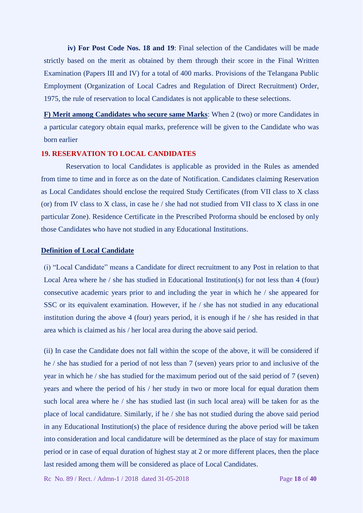**iv) For Post Code Nos. 18 and 19**: Final selection of the Candidates will be made strictly based on the merit as obtained by them through their score in the Final Written Examination (Papers III and IV) for a total of 400 marks. Provisions of the Telangana Public Employment (Organization of Local Cadres and Regulation of Direct Recruitment) Order, 1975, the rule of reservation to local Candidates is not applicable to these selections.

**F) Merit among Candidates who secure same Marks**: When 2 (two) or more Candidates in a particular category obtain equal marks, preference will be given to the Candidate who was born earlier

### **19. RESERVATION TO LOCAL CANDIDATES**

Reservation to local Candidates is applicable as provided in the Rules as amended from time to time and in force as on the date of Notification. Candidates claiming Reservation as Local Candidates should enclose the required Study Certificates (from VII class to X class (or) from IV class to X class, in case he  $/$  she had not studied from VII class to X class in one particular Zone). Residence Certificate in the Prescribed Proforma should be enclosed by only those Candidates who have not studied in any Educational Institutions.

### **Definition of Local Candidate**

(i) "Local Candidate" means a Candidate for direct recruitment to any Post in relation to that Local Area where he / she has studied in Educational Institution(s) for not less than 4 (four) consecutive academic years prior to and including the year in which he / she appeared for SSC or its equivalent examination. However, if he / she has not studied in any educational institution during the above 4 (four) years period, it is enough if he / she has resided in that area which is claimed as his / her local area during the above said period.

(ii) In case the Candidate does not fall within the scope of the above, it will be considered if he / she has studied for a period of not less than 7 (seven) years prior to and inclusive of the year in which he / she has studied for the maximum period out of the said period of 7 (seven) years and where the period of his / her study in two or more local for equal duration them such local area where he / she has studied last (in such local area) will be taken for as the place of local candidature. Similarly, if he / she has not studied during the above said period in any Educational Institution(s) the place of residence during the above period will be taken into consideration and local candidature will be determined as the place of stay for maximum period or in case of equal duration of highest stay at 2 or more different places, then the place last resided among them will be considered as place of Local Candidates.

Rc No. 89 / Rect. / Admn-1 / 2018 dated 31-05-2018 Page **18** of **40**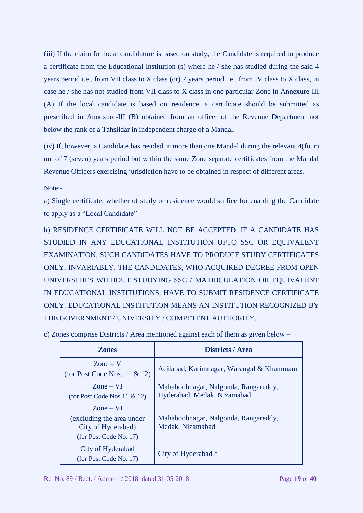(iii) If the claim for local candidature is based on study, the Candidate is required to produce a certificate from the Educational Institution (s) where he / she has studied during the said 4 years period i.e., from VII class to X class (or) 7 years period i.e., from IV class to X class, in case he / she has not studied from VII class to X class in one particular Zone in Annexure-III (A) If the local candidate is based on residence, a certificate should be submitted as prescribed in Annexure-III (B) obtained from an officer of the Revenue Department not below the rank of a Tahsildar in independent charge of a Mandal.

(iv) If, however, a Candidate has resided in more than one Mandal during the relevant 4(four) out of 7 (seven) years period but within the same Zone separate certificates from the Mandal Revenue Officers exercising jurisdiction have to be obtained in respect of different areas.

Note:-

a) Single certificate, whether of study or residence would suffice for enabling the Candidate to apply as a "Local Candidate"

b) RESIDENCE CERTIFICATE WILL NOT BE ACCEPTED, IF A CANDIDATE HAS STUDIED IN ANY EDUCATIONAL INSTITUTION UPTO SSC OR EQUIVALENT EXAMINATION. SUCH CANDIDATES HAVE TO PRODUCE STUDY CERTIFICATES ONLY, INVARIABLY. THE CANDIDATES, WHO ACQUIRED DEGREE FROM OPEN UNIVERSITIES WITHOUT STUDYING SSC / MATRICULATION OR EQUIVALENT IN EDUCATIONAL INSTITUTIONS, HAVE TO SUBMIT RESIDENCE CERTIFICATE ONLY. EDUCATIONAL INSTITUTION MEANS AN INSTITUTION RECOGNIZED BY THE GOVERNMENT / UNIVERSITY / COMPETENT AUTHORITY.

| <b>Zones</b>                                                                                           | <b>Districts / Area</b>                                             |
|--------------------------------------------------------------------------------------------------------|---------------------------------------------------------------------|
| $\text{Zone} - \text{V}$<br>(for Post Code Nos. $11 \& 12$ )                                           | Adilabad, Karimnagar, Warangal & Khammam                            |
| $\text{Zone} - \text{VI}$<br>(for Post Code Nos.11 $& 12$ )                                            | Mahaboobnagar, Nalgonda, Rangareddy,<br>Hyderabad, Medak, Nizamabad |
| $\text{Zone} - \text{VI}$<br>(excluding the area under<br>City of Hyderabad)<br>(for Post Code No. 17) | Mahaboobnagar, Nalgonda, Rangareddy,<br>Medak, Nizamabad            |
| City of Hyderabad<br>(for Post Code No. 17)                                                            | City of Hyderabad *                                                 |

c) Zones comprise Districts / Area mentioned against each of them as given below –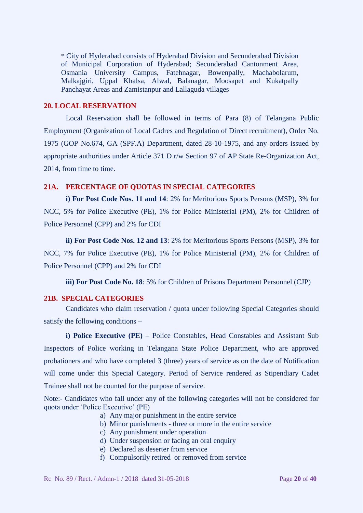\* City of Hyderabad consists of Hyderabad Division and Secunderabad Division of Municipal Corporation of Hyderabad; Secunderabad Cantonment Area, Osmania University Campus, Fatehnagar, Bowenpally, Machabolarum, Malkajgiri, Uppal Khalsa, Alwal, Balanagar, Moosapet and Kukatpally Panchayat Areas and Zamistanpur and Lallaguda villages

### **20. LOCAL RESERVATION**

Local Reservation shall be followed in terms of Para (8) of Telangana Public Employment (Organization of Local Cadres and Regulation of Direct recruitment), Order No. 1975 (GOP No.674, GA (SPF.A) Department, dated 28-10-1975, and any orders issued by appropriate authorities under Article 371 D r/w Section 97 of AP State Re-Organization Act, 2014, from time to time.

### **21A. PERCENTAGE OF QUOTAS IN SPECIAL CATEGORIES**

**i) For Post Code Nos. 11 and 14**: 2% for Meritorious Sports Persons (MSP), 3% for NCC, 5% for Police Executive (PE), 1% for Police Ministerial (PM), 2% for Children of Police Personnel (CPP) and 2% for CDI

**ii) For Post Code Nos. 12 and 13**: 2% for Meritorious Sports Persons (MSP), 3% for NCC, 7% for Police Executive (PE), 1% for Police Ministerial (PM), 2% for Children of Police Personnel (CPP) and 2% for CDI

**iii) For Post Code No. 18**: 5% for Children of Prisons Department Personnel (CJP)

## **21B. SPECIAL CATEGORIES**

Candidates who claim reservation / quota under following Special Categories should satisfy the following conditions –

**i) Police Executive (PE)** – Police Constables, Head Constables and Assistant Sub Inspectors of Police working in Telangana State Police Department, who are approved probationers and who have completed 3 (three) years of service as on the date of Notification will come under this Special Category. Period of Service rendered as Stipendiary Cadet Trainee shall not be counted for the purpose of service.

Note:- Candidates who fall under any of the following categories will not be considered for quota under 'Police Executive' (PE)

- a) Any major punishment in the entire service
- b) Minor punishments three or more in the entire service
- c) Any punishment under operation
- d) Under suspension or facing an oral enquiry
- e) Declared as deserter from service
- f) Compulsorily retired or removed from service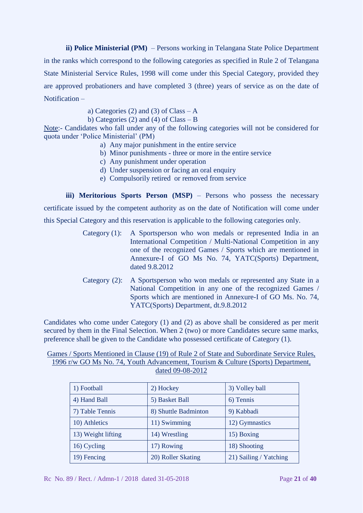**ii) Police Ministerial (PM)** – Persons working in Telangana State Police Department in the ranks which correspond to the following categories as specified in Rule 2 of Telangana State Ministerial Service Rules, 1998 will come under this Special Category, provided they are approved probationers and have completed 3 (three) years of service as on the date of Notification –

a) Categories (2) and (3) of Class  $-A$ 

b) Categories (2) and (4) of Class – B

Note:- Candidates who fall under any of the following categories will not be considered for quota under 'Police Ministerial' (PM)

- a) Any major punishment in the entire service
- b) Minor punishments three or more in the entire service
- c) Any punishment under operation
- d) Under suspension or facing an oral enquiry
- e) Compulsorily retired or removed from service

**iii) Meritorious Sports Person (MSP)** – Persons who possess the necessary certificate issued by the competent authority as on the date of Notification will come under this Special Category and this reservation is applicable to the following categories only.

- Category (1): A Sportsperson who won medals or represented India in an International Competition / Multi-National Competition in any one of the recognized Games / Sports which are mentioned in Annexure-I of GO Ms No. 74, YATC(Sports) Department, dated 9.8.2012
- Category (2): A Sportsperson who won medals or represented any State in a National Competition in any one of the recognized Games / Sports which are mentioned in Annexure-I of GO Ms. No. 74, YATC(Sports) Department, dt.9.8.2012

Candidates who come under Category (1) and (2) as above shall be considered as per merit secured by them in the Final Selection. When 2 (two) or more Candidates secure same marks, preference shall be given to the Candidate who possessed certificate of Category (1).

### Games / Sports Mentioned in Clause (19) of Rule 2 of State and Subordinate Service Rules, 1996 r/w GO Ms No. 74, Youth Advancement, Tourism & Culture (Sports) Department, dated 09-08-2012

| 1) Football        | 2) Hockey            | 3) Volley ball         |
|--------------------|----------------------|------------------------|
| 4) Hand Ball       | 5) Basket Ball       | 6) Tennis              |
| 7) Table Tennis    | 8) Shuttle Badminton | 9) Kabbadi             |
| 10) Athletics      | 11) Swimming         | 12) Gymnastics         |
| 13) Weight lifting | 14) Wrestling        | 15) Boxing             |
| 16) Cycling        | 17) Rowing           | 18) Shooting           |
| 19) Fencing        | 20) Roller Skating   | 21) Sailing / Yatching |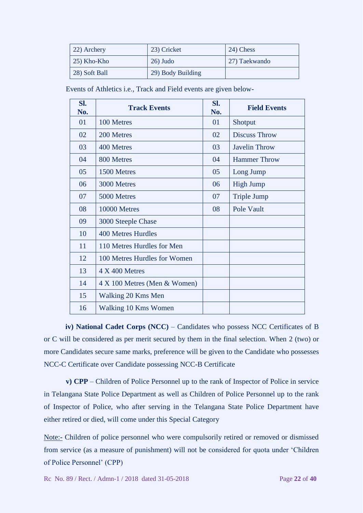| 22) Archery        | 23) Cricket       | 24) Chess     |
|--------------------|-------------------|---------------|
| $\mid$ 25) Kho-Kho | $26)$ Judo        | 27) Taekwando |
| 28) Soft Ball      | 29) Body Building |               |

Events of Athletics i.e., Track and Field events are given below-

| SI.<br>No. | <b>Track Events</b>          | Sl.<br>No. | <b>Field Events</b>  |
|------------|------------------------------|------------|----------------------|
| 01         | 100 Metres                   | 01         | Shotput              |
| 02         | 200 Metres                   | 02         | <b>Discuss Throw</b> |
| 03         | 400 Metres                   | 03         | <b>Javelin Throw</b> |
| 04         | 800 Metres                   | 04         | <b>Hammer Throw</b>  |
| 05         | 1500 Metres                  | 05         | Long Jump            |
| 06         | 3000 Metres                  | 06         | <b>High Jump</b>     |
| 07         | 5000 Metres                  | 07         | <b>Triple Jump</b>   |
| 08         | 10000 Metres                 | 08         | Pole Vault           |
| 09         | 3000 Steeple Chase           |            |                      |
| 10         | <b>400 Metres Hurdles</b>    |            |                      |
| 11         | 110 Metres Hurdles for Men   |            |                      |
| 12         | 100 Metres Hurdles for Women |            |                      |
| 13         | $4 \times 400$ Metres        |            |                      |
| 14         | 4 X 100 Metres (Men & Women) |            |                      |
| 15         | Walking 20 Kms Men           |            |                      |
| 16         | Walking 10 Kms Women         |            |                      |

**iv) National Cadet Corps (NCC)** – Candidates who possess NCC Certificates of B or C will be considered as per merit secured by them in the final selection. When 2 (two) or more Candidates secure same marks, preference will be given to the Candidate who possesses NCC-C Certificate over Candidate possessing NCC-B Certificate

**v) CPP** – Children of Police Personnel up to the rank of Inspector of Police in service in Telangana State Police Department as well as Children of Police Personnel up to the rank of Inspector of Police, who after serving in the Telangana State Police Department have either retired or died, will come under this Special Category

Note:- Children of police personnel who were compulsorily retired or removed or dismissed from service (as a measure of punishment) will not be considered for quota under 'Children of Police Personnel' (CPP)

Rc No. 89 / Rect. / Admn-1 / 2018 dated 31-05-2018 Page **22** of **40**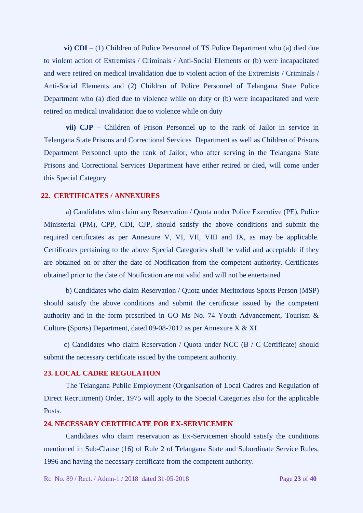**vi) CDI** – (1) Children of Police Personnel of TS Police Department who (a) died due to violent action of Extremists / Criminals / Anti-Social Elements or (b) were incapacitated and were retired on medical invalidation due to violent action of the Extremists / Criminals / Anti-Social Elements and (2) Children of Police Personnel of Telangana State Police Department who (a) died due to violence while on duty or (b) were incapacitated and were retired on medical invalidation due to violence while on duty

**vii) CJP** – Children of Prison Personnel up to the rank of Jailor in service in Telangana State Prisons and Correctional Services Department as well as Children of Prisons Department Personnel upto the rank of Jailor, who after serving in the Telangana State Prisons and Correctional Services Department have either retired or died, will come under this Special Category

#### **22. CERTIFICATES / ANNEXURES**

a) Candidates who claim any Reservation / Quota under Police Executive (PE), Police Ministerial (PM), CPP, CDI, CJP, should satisfy the above conditions and submit the required certificates as per Annexure V, VI, VII, VIII and IX, as may be applicable. Certificates pertaining to the above Special Categories shall be valid and acceptable if they are obtained on or after the date of Notification from the competent authority. Certificates obtained prior to the date of Notification are not valid and will not be entertained

b) Candidates who claim Reservation / Quota under Meritorious Sports Person (MSP) should satisfy the above conditions and submit the certificate issued by the competent authority and in the form prescribed in GO Ms No. 74 Youth Advancement, Tourism & Culture (Sports) Department, dated 09-08-2012 as per Annexure X & XI

 c) Candidates who claim Reservation / Quota under NCC (B / C Certificate) should submit the necessary certificate issued by the competent authority.

### **23. LOCAL CADRE REGULATION**

The Telangana Public Employment (Organisation of Local Cadres and Regulation of Direct Recruitment) Order, 1975 will apply to the Special Categories also for the applicable Posts.

# **24. NECESSARY CERTIFICATE FOR EX-SERVICEMEN**

Candidates who claim reservation as Ex-Servicemen should satisfy the conditions mentioned in Sub-Clause (16) of Rule 2 of Telangana State and Subordinate Service Rules, 1996 and having the necessary certificate from the competent authority.

Rc No. 89 / Rect. / Admn-1 / 2018 dated 31-05-2018 Page **23** of **40**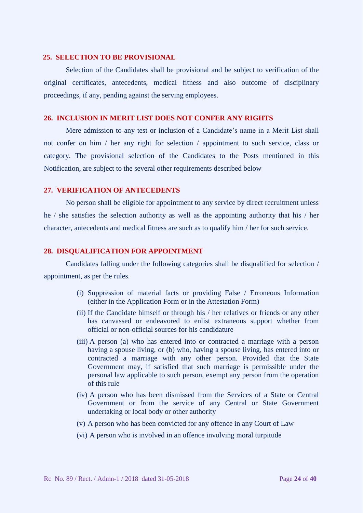### **25. SELECTION TO BE PROVISIONAL**

Selection of the Candidates shall be provisional and be subject to verification of the original certificates, antecedents, medical fitness and also outcome of disciplinary proceedings, if any, pending against the serving employees.

### **26. INCLUSION IN MERIT LIST DOES NOT CONFER ANY RIGHTS**

Mere admission to any test or inclusion of a Candidate's name in a Merit List shall not confer on him / her any right for selection / appointment to such service, class or category. The provisional selection of the Candidates to the Posts mentioned in this Notification, are subject to the several other requirements described below

### **27. VERIFICATION OF ANTECEDENTS**

No person shall be eligible for appointment to any service by direct recruitment unless he / she satisfies the selection authority as well as the appointing authority that his / her character, antecedents and medical fitness are such as to qualify him / her for such service.

### **28. DISQUALIFICATION FOR APPOINTMENT**

Candidates falling under the following categories shall be disqualified for selection / appointment, as per the rules.

- (i) Suppression of material facts or providing False / Erroneous Information (either in the Application Form or in the Attestation Form)
- (ii) If the Candidate himself or through his / her relatives or friends or any other has canvassed or endeavored to enlist extraneous support whether from official or non-official sources for his candidature
- (iii) A person (a) who has entered into or contracted a marriage with a person having a spouse living, or (b) who, having a spouse living, has entered into or contracted a marriage with any other person. Provided that the State Government may, if satisfied that such marriage is permissible under the personal law applicable to such person, exempt any person from the operation of this rule
- (iv) A person who has been dismissed from the Services of a State or Central Government or from the service of any Central or State Government undertaking or local body or other authority
- (v) A person who has been convicted for any offence in any Court of Law
- (vi) A person who is involved in an offence involving moral turpitude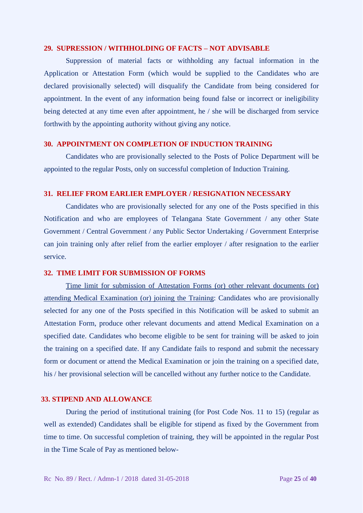### **29. SUPRESSION / WITHHOLDING OF FACTS – NOT ADVISABLE**

Suppression of material facts or withholding any factual information in the Application or Attestation Form (which would be supplied to the Candidates who are declared provisionally selected) will disqualify the Candidate from being considered for appointment. In the event of any information being found false or incorrect or ineligibility being detected at any time even after appointment, he / she will be discharged from service forthwith by the appointing authority without giving any notice.

### **30. APPOINTMENT ON COMPLETION OF INDUCTION TRAINING**

Candidates who are provisionally selected to the Posts of Police Department will be appointed to the regular Posts, only on successful completion of Induction Training.

### **31. RELIEF FROM EARLIER EMPLOYER / RESIGNATION NECESSARY**

Candidates who are provisionally selected for any one of the Posts specified in this Notification and who are employees of Telangana State Government / any other State Government / Central Government / any Public Sector Undertaking / Government Enterprise can join training only after relief from the earlier employer / after resignation to the earlier service.

### **32. TIME LIMIT FOR SUBMISSION OF FORMS**

Time limit for submission of Attestation Forms (or) other relevant documents (or) attending Medical Examination (or) joining the Training: Candidates who are provisionally selected for any one of the Posts specified in this Notification will be asked to submit an Attestation Form, produce other relevant documents and attend Medical Examination on a specified date. Candidates who become eligible to be sent for training will be asked to join the training on a specified date. If any Candidate fails to respond and submit the necessary form or document or attend the Medical Examination or join the training on a specified date, his / her provisional selection will be cancelled without any further notice to the Candidate.

### **33. STIPEND AND ALLOWANCE**

During the period of institutional training (for Post Code Nos. 11 to 15) (regular as well as extended) Candidates shall be eligible for stipend as fixed by the Government from time to time. On successful completion of training, they will be appointed in the regular Post in the Time Scale of Pay as mentioned below-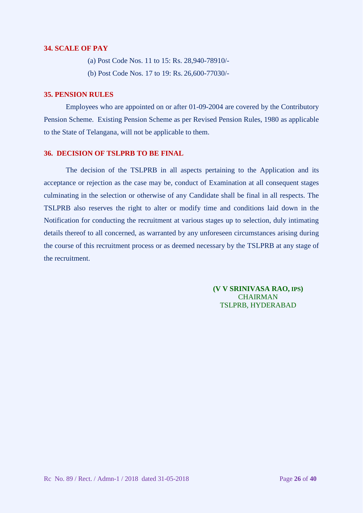### **34. SCALE OF PAY**

(a) Post Code Nos. 11 to 15: Rs. 28,940-78910/-

(b) Post Code Nos. 17 to 19: Rs. 26,600-77030/-

### **35. PENSION RULES**

Employees who are appointed on or after 01-09-2004 are covered by the Contributory Pension Scheme. Existing Pension Scheme as per Revised Pension Rules, 1980 as applicable to the State of Telangana, will not be applicable to them.

## **36. DECISION OF TSLPRB TO BE FINAL**

The decision of the TSLPRB in all aspects pertaining to the Application and its acceptance or rejection as the case may be, conduct of Examination at all consequent stages culminating in the selection or otherwise of any Candidate shall be final in all respects. The TSLPRB also reserves the right to alter or modify time and conditions laid down in the Notification for conducting the recruitment at various stages up to selection, duly intimating details thereof to all concerned, as warranted by any unforeseen circumstances arising during the course of this recruitment process or as deemed necessary by the TSLPRB at any stage of the recruitment.

> **(V V SRINIVASA RAO, IPS) CHAIRMAN** TSLPRB, HYDERABAD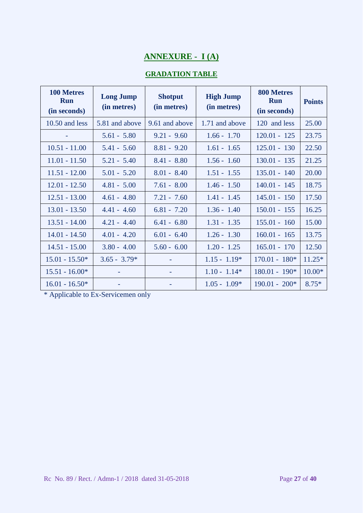# **ANNEXURE - I (A)**

# **GRADATION TABLE**

| 100 Metres<br><b>Run</b><br>(in seconds) | <b>Long Jump</b><br>(in metres) | <b>Shotput</b><br>(in metres) | <b>High Jump</b><br>(in metres) | 800 Metres<br><b>Run</b><br>(in seconds) | <b>Points</b> |
|------------------------------------------|---------------------------------|-------------------------------|---------------------------------|------------------------------------------|---------------|
| $10.50$ and less                         | 5.81 and above                  | 9.61 and above                | 1.71 and above                  | 120 and less                             | 25.00         |
|                                          | $5.61 - 5.80$                   | $9.21 - 9.60$                 | $1.66 - 1.70$                   | $120.01 - 125$                           | 23.75         |
| $10.51 - 11.00$                          | $5.41 - 5.60$                   | $8.81 - 9.20$                 | $1.61 - 1.65$                   | $125.01 - 130$                           | 22.50         |
| $11.01 - 11.50$                          | $5.21 - 5.40$                   | $8.41 - 8.80$                 | $1.56 - 1.60$                   | $130.01 - 135$                           | 21.25         |
| $11.51 - 12.00$                          | $5.01 - 5.20$                   | $8.01 - 8.40$                 | $1.51 - 1.55$                   | $135.01 - 140$                           | 20.00         |
| $12.01 - 12.50$                          | $4.81 - 5.00$                   | $7.61 - 8.00$                 | $1.46 - 1.50$                   | $140.01 - 145$                           | 18.75         |
| $12.51 - 13.00$                          | $4.61 - 4.80$                   | $7.21 - 7.60$                 | $1.41 - 1.45$                   | $145.01 - 150$                           | 17.50         |
| $13.01 - 13.50$                          | $4.41 - 4.60$                   | $6.81 - 7.20$                 | $1.36 - 1.40$                   | $150.01 - 155$                           | 16.25         |
| $13.51 - 14.00$                          | $4.21 - 4.40$                   | $6.41 - 6.80$                 | $1.31 - 1.35$                   | $155.01 - 160$                           | 15.00         |
| $14.01 - 14.50$                          | $4.01 - 4.20$                   | $6.01 - 6.40$                 | $1.26 - 1.30$                   | $160.01 - 165$                           | 13.75         |
| $14.51 - 15.00$                          | $3.80 - 4.00$                   | $5.60 - 6.00$                 | $1.20 - 1.25$                   | $165.01 - 170$                           | 12.50         |
| $15.01 - 15.50*$                         | $3.65 - 3.79*$                  |                               | $1.15 - 1.19*$                  | $170.01 - 180*$                          | $11.25*$      |
| $15.51 - 16.00*$                         |                                 | ۰                             | $1.10 - 1.14*$                  | $180.01 - 190*$                          | $10.00*$      |
| $16.01 - 16.50*$                         |                                 |                               | $1.05 - 1.09*$                  | $190.01 - 200*$                          | $8.75*$       |

\* Applicable to Ex-Servicemen only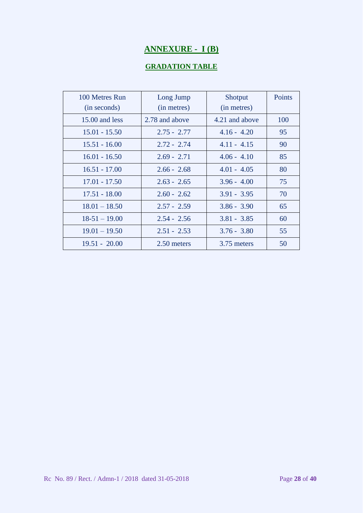# **ANNEXURE - I (B)**

# **GRADATION TABLE**

| 100 Metres Run<br>(in seconds) | Long Jump<br>(in metres) | Shotput<br>(in metres) | Points |
|--------------------------------|--------------------------|------------------------|--------|
| 15.00 and less                 | 2.78 and above           | 4.21 and above         | 100    |
| $15.01 - 15.50$                | $2.75 - 2.77$            | $4.16 - 4.20$          | 95     |
| $15.51 - 16.00$                | $2.72 - 2.74$            | $4.11 - 4.15$          | 90     |
| $16.01 - 16.50$                | $2.69 - 2.71$            | $4.06 - 4.10$          | 85     |
| $16.51 - 17.00$                | $2.66 - 2.68$            | $4.01 - 4.05$          | 80     |
| $17.01 - 17.50$                | $2.63 - 2.65$            | $3.96 - 4.00$          | 75     |
| $17.51 - 18.00$                | $2.60 - 2.62$            | $3.91 - 3.95$          | 70     |
| $18.01 - 18.50$                | $2.57 - 2.59$            | $3.86 - 3.90$          | 65     |
| $18-51-19.00$                  | $2.54 - 2.56$            | $3.81 - 3.85$          | 60     |
| $19.01 - 19.50$                | $2.51 - 2.53$            | $3.76 - 3.80$          | 55     |
| $19.51 - 20.00$                | 2.50 meters              | 3.75 meters            | 50     |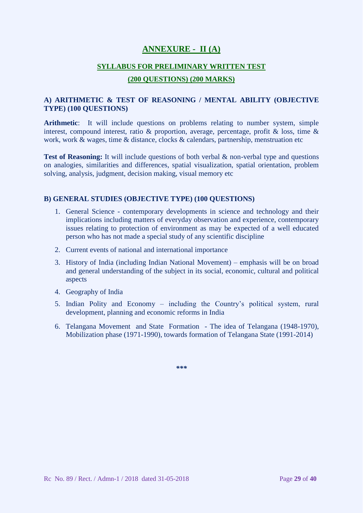# **ANNEXURE - II (A)**

### **SYLLABUS FOR PRELIMINARY WRITTEN TEST**

### **(200 QUESTIONS) (200 MARKS)**

## **A) ARITHMETIC & TEST OF REASONING / MENTAL ABILITY (OBJECTIVE TYPE) (100 QUESTIONS)**

**Arithmetic**: It will include questions on problems relating to number system, simple interest, compound interest, ratio & proportion, average, percentage, profit & loss, time & work, work & wages, time & distance, clocks & calendars, partnership, menstruation etc

**Test of Reasoning:** It will include questions of both verbal & non-verbal type and questions on analogies, similarities and differences, spatial visualization, spatial orientation, problem solving, analysis, judgment, decision making, visual memory etc

### **B) GENERAL STUDIES (OBJECTIVE TYPE) (100 QUESTIONS)**

- 1. General Science contemporary developments in science and technology and their implications including matters of everyday observation and experience, contemporary issues relating to protection of environment as may be expected of a well educated person who has not made a special study of any scientific discipline
- 2. Current events of national and international importance
- 3. History of India (including Indian National Movement) emphasis will be on broad and general understanding of the subject in its social, economic, cultural and political aspects
- 4. Geography of India
- 5. Indian Polity and Economy including the Country's political system, rural development, planning and economic reforms in India
- 6. Telangana Movement and State Formation The idea of Telangana (1948-1970), Mobilization phase (1971-1990), towards formation of Telangana State (1991-2014)

*\*\*\**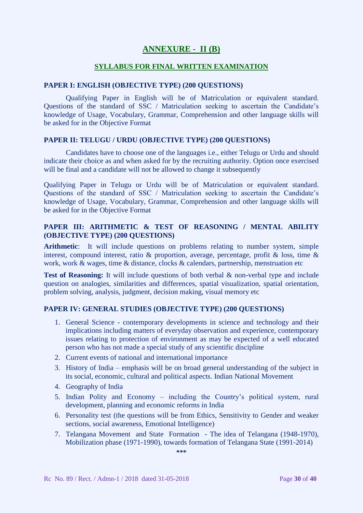# **ANNEXURE - II (B)**

### **SYLLABUS FOR FINAL WRITTEN EXAMINATION**

### **PAPER I: ENGLISH (OBJECTIVE TYPE) (200 QUESTIONS)**

Qualifying Paper in English will be of Matriculation or equivalent standard. Questions of the standard of SSC / Matriculation seeking to ascertain the Candidate's knowledge of Usage, Vocabulary, Grammar, Comprehension and other language skills will be asked for in the Objective Format

### **PAPER II: TELUGU / URDU (OBJECTIVE TYPE) (200 QUESTIONS)**

Candidates have to choose one of the languages i.e., either Telugu or Urdu and should indicate their choice as and when asked for by the recruiting authority. Option once exercised will be final and a candidate will not be allowed to change it subsequently

Qualifying Paper in Telugu or Urdu will be of Matriculation or equivalent standard. Questions of the standard of SSC / Matriculation seeking to ascertain the Candidate's knowledge of Usage, Vocabulary, Grammar, Comprehension and other language skills will be asked for in the Objective Format

## **PAPER III: ARITHMETIC & TEST OF REASONING / MENTAL ABILITY (OBJECTIVE TYPE) (200 QUESTIONS)**

**Arithmetic**: It will include questions on problems relating to number system, simple interest, compound interest, ratio & proportion, average, percentage, profit & loss, time & work, work & wages, time & distance, clocks & calendars, partnership, menstruation etc

**Test of Reasoning:** It will include questions of both verbal & non-verbal type and include question on analogies, similarities and differences, spatial visualization, spatial orientation, problem solving, analysis, judgment, decision making, visual memory etc

#### **PAPER IV: GENERAL STUDIES (OBJECTIVE TYPE) (200 QUESTIONS)**

- 1. General Science contemporary developments in science and technology and their implications including matters of everyday observation and experience, contemporary issues relating to protection of environment as may be expected of a well educated person who has not made a special study of any scientific discipline
- 2. Current events of national and international importance
- 3. History of India emphasis will be on broad general understanding of the subject in its social, economic, cultural and political aspects. Indian National Movement
- 4. Geography of India
- 5. Indian Polity and Economy including the Country's political system, rural development, planning and economic reforms in India
- 6. Personality test (the questions will be from Ethics, Sensitivity to Gender and weaker sections, social awareness, Emotional Intelligence)
- 7. Telangana Movement and State Formation The idea of Telangana (1948-1970), Mobilization phase (1971-1990), towards formation of Telangana State (1991-2014)

**\*\*\***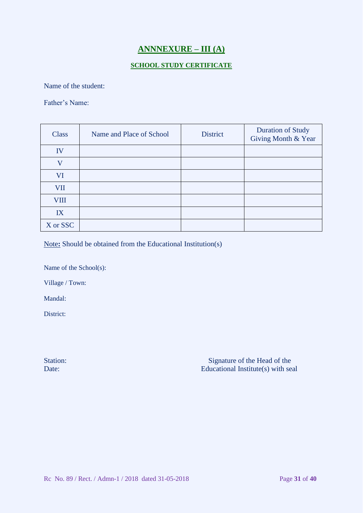# **ANNNEXURE – III (A)**

## **SCHOOL STUDY CERTIFICATE**

Name of the student:

Father's Name:

| <b>Class</b> | Name and Place of School | District | <b>Duration of Study</b><br>Giving Month & Year |
|--------------|--------------------------|----------|-------------------------------------------------|
| IV           |                          |          |                                                 |
| $\mathbf{V}$ |                          |          |                                                 |
| VI           |                          |          |                                                 |
| <b>VII</b>   |                          |          |                                                 |
| <b>VIII</b>  |                          |          |                                                 |
| IX           |                          |          |                                                 |
| X or SSC     |                          |          |                                                 |

Note**:** Should be obtained from the Educational Institution(s)

Name of the School(s):

Village / Town:

Mandal:

District:

Station: Station: Signature of the Head of the Signature of the Head of the Signature of the Head of the Signature of the Head of the Signature of the Head of the Signature of the Head of the Signature of the Head of the S Date: Educational Institute(s) with seal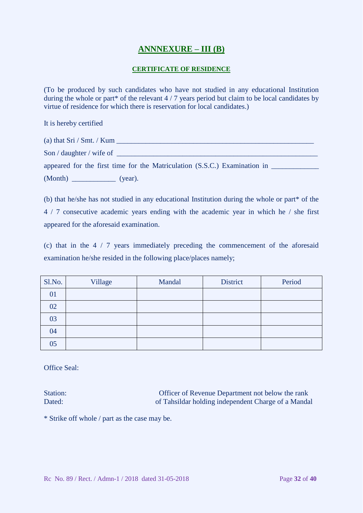# **ANNNEXURE – III (B)**

## **CERTIFICATE OF RESIDENCE**

(To be produced by such candidates who have not studied in any educational Institution during the whole or part\* of the relevant 4 / 7 years period but claim to be local candidates by virtue of residence for which there is reservation for local candidates.)

It is hereby certified

(a) that  $\text{Sri} / \text{Smt.} / \text{Kum}$ 

Son / daughter / wife of \_\_\_\_\_\_\_\_\_\_\_\_\_\_\_\_\_\_\_\_\_\_\_\_\_\_\_\_\_\_\_\_\_\_\_\_\_\_\_\_\_\_\_\_\_\_\_\_\_\_\_\_\_\_\_

appeared for the first time for the Matriculation (S.S.C.) Examination in \_\_\_\_\_\_\_\_\_\_\_\_\_ (Month) \_\_\_\_\_\_\_\_\_\_\_\_ (year).

(b) that he/she has not studied in any educational Institution during the whole or part\* of the 4 / 7 consecutive academic years ending with the academic year in which he / she first appeared for the aforesaid examination.

(c) that in the 4 / 7 years immediately preceding the commencement of the aforesaid examination he/she resided in the following place/places namely;

| Sl.No. | Village | Mandal | <b>District</b> | Period |
|--------|---------|--------|-----------------|--------|
| 01     |         |        |                 |        |
| 02     |         |        |                 |        |
| 03     |         |        |                 |        |
| 04     |         |        |                 |        |
| 05     |         |        |                 |        |

Office Seal:

Station: Officer of Revenue Department not below the rank Dated: of Tahsildar holding independent Charge of a Mandal

\* Strike off whole / part as the case may be.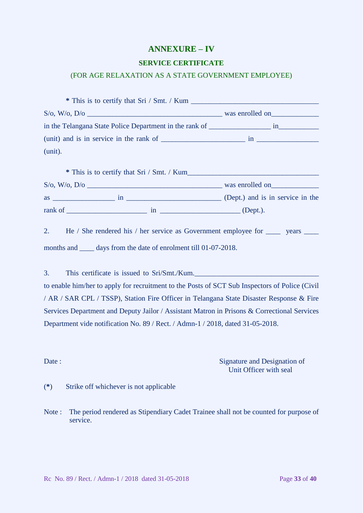# **ANNEXURE – IV**

### **SERVICE CERTIFICATE**

### (FOR AGE RELAXATION AS A STATE GOVERNMENT EMPLOYEE)

| S/O, W/O, D/O                                                                        | was enrolled on |
|--------------------------------------------------------------------------------------|-----------------|
| in the Telangana State Police Department in the rank of _________________________ in |                 |
|                                                                                      |                 |
| (unit).                                                                              |                 |
|                                                                                      |                 |

| * This is to certify that Sri / Smt. / Kum |    |                                  |  |
|--------------------------------------------|----|----------------------------------|--|
| $S/\rm{o}$ , W/ $\rm{o}$ , D/ $\rm{o}$     |    | was enrolled on                  |  |
| <b>as</b>                                  | 1n | (Dept.) and is in service in the |  |
| rank of                                    | 1n | $(Depth.)$ .                     |  |

2. He / She rendered his / her service as Government employee for wears wears wears the law of the service as Government employee for wears wears wears the law of the service as Government employee for wears wears wears th months and \_\_\_\_\_ days from the date of enrolment till 01-07-2018.

3. This certificate is issued to Sri/Smt./Kum. to enable him/her to apply for recruitment to the Posts of SCT Sub Inspectors of Police (Civil / AR / SAR CPL / TSSP), Station Fire Officer in Telangana State Disaster Response & Fire Services Department and Deputy Jailor / Assistant Matron in Prisons & Correctional Services Department vide notification No. 89 / Rect. / Admn-1 / 2018, dated 31-05-2018.

Date : Signature and Designation of Unit Officer with seal

- (**\***) Strike off whichever is not applicable
- Note : The period rendered as Stipendiary Cadet Trainee shall not be counted for purpose of service.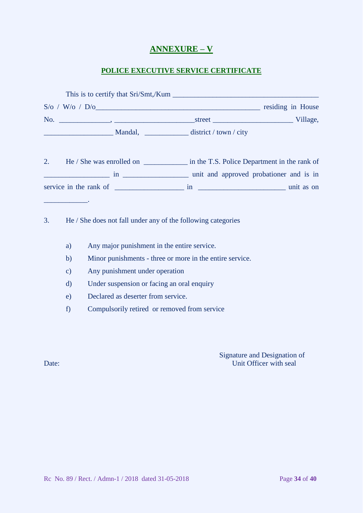# **ANNEXURE – V**

# **POLICE EXECUTIVE SERVICE CERTIFICATE**

|     |         | This is to certify that Sri/Smt,/Kum |                   |
|-----|---------|--------------------------------------|-------------------|
|     |         |                                      | residing in House |
| No. |         | street <u>and the street</u>         | Village,          |
|     | Mandal, | district / town / city               |                   |

2. He / She was enrolled on \_\_\_\_\_\_\_\_\_\_\_\_\_\_\_\_\_ in the T.S. Police Department in the rank of \_\_\_\_\_\_\_\_\_\_\_\_\_\_\_\_\_\_ in \_\_\_\_\_\_\_\_\_\_\_\_\_\_\_\_\_\_ unit and approved probationer and is in service in the rank of  $\frac{1}{\sqrt{1-\frac{1}{n}}}\sin \frac{1}{\sqrt{1-\frac{1}{n}}}\sin \frac{1}{\sqrt{1-\frac{1}{n}}}\sin \frac{1}{\sqrt{1-\frac{1}{n}}}\sin \frac{1}{\sqrt{1-\frac{1}{n}}}\sin \frac{1}{\sqrt{1-\frac{1}{n}}}\sin \frac{1}{\sqrt{1-\frac{1}{n}}}\sin \frac{1}{\sqrt{1-\frac{1}{n}}}\sin \frac{1}{\sqrt{1-\frac{1}{n}}}\sin \frac{1}{\sqrt{1-\frac{1}{n}}}\sin \frac{1}{\sqrt{1-\frac{1}{n}}}\$ 

3. He / She does not fall under any of the following categories

- a) Any major punishment in the entire service.
- b) Minor punishments three or more in the entire service.
- c) Any punishment under operation
- d) Under suspension or facing an oral enquiry
- e) Declared as deserter from service.
- f) Compulsorily retired or removed from service

\_\_\_\_\_\_\_\_\_\_\_\_.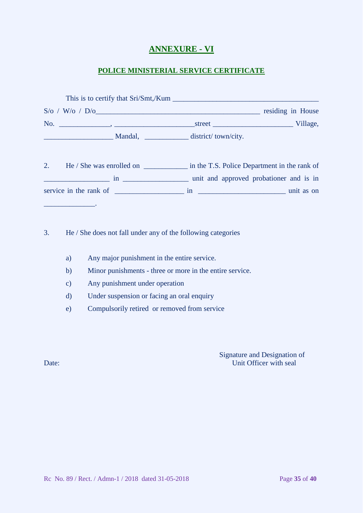# **ANNEXURE - VI**

## **POLICE MINISTERIAL SERVICE CERTIFICATE**

| This is to certify that Sri/Smt,/Kum                                                                                   |                                                                                                                                                                                                                                      |                   |
|------------------------------------------------------------------------------------------------------------------------|--------------------------------------------------------------------------------------------------------------------------------------------------------------------------------------------------------------------------------------|-------------------|
| $S/\text{o}$ / W/o / D/o                                                                                               |                                                                                                                                                                                                                                      | residing in House |
| No.<br>the contract of the contract of the contract of the contract of the contract of the contract of the contract of | street <u>the contract of the contract of the contract of the contract of the contract of the contract of the contract of the contract of the contract of the contract of the contract of the contract of the contract of the co</u> | Village,          |
| Mandal,                                                                                                                | district/town/city.                                                                                                                                                                                                                  |                   |

2. He / She was enrolled on \_\_\_\_\_\_\_\_\_\_\_\_\_\_ in the T.S. Police Department in the rank of \_\_\_\_\_\_\_\_\_\_\_\_\_\_\_\_\_\_ in \_\_\_\_\_\_\_\_\_\_\_\_\_\_\_\_\_\_ unit and approved probationer and is in service in the rank of \_\_\_\_\_\_\_\_\_\_\_\_\_\_\_\_\_\_\_ in \_\_\_\_\_\_\_\_\_\_\_\_\_\_\_\_\_\_\_\_\_\_\_\_ unit as on

3. He / She does not fall under any of the following categories

- a) Any major punishment in the entire service.
- b) Minor punishments three or more in the entire service.
- c) Any punishment under operation
- d) Under suspension or facing an oral enquiry
- e) Compulsorily retired or removed from service

Signature and Designation of Date: Unit Officer with seal

\_\_\_\_\_\_\_\_\_\_\_\_\_\_.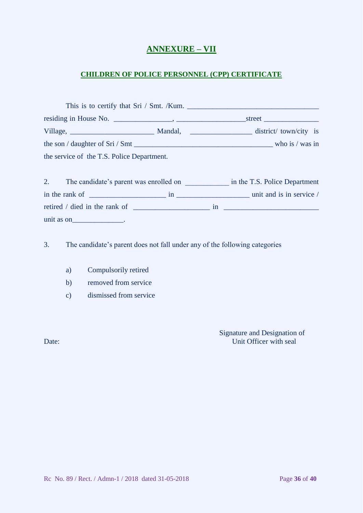# **ANNEXURE – VII**

# **CHILDREN OF POLICE PERSONNEL (CPP) CERTIFICATE**

|                                                                       | This is to certify that Sri / Smt. /Kum.                                                                                                                                                                                       |
|-----------------------------------------------------------------------|--------------------------------------------------------------------------------------------------------------------------------------------------------------------------------------------------------------------------------|
|                                                                       | street and the street of the street street in the street street in the street street in the street street in the street street in the street street in the street street in the street street in the street street in the stre |
|                                                                       | Mandal, district/town/city is                                                                                                                                                                                                  |
| the son $\frac{1}{2}$ daughter of Sri $\frac{1}{2}$ Smt $\frac{1}{2}$ | who is $\prime$ was in                                                                                                                                                                                                         |
| the service of the T.S. Police Department.                            |                                                                                                                                                                                                                                |

| The candidate's parent was enrolled on |    |    | in the T.S. Police Department |
|----------------------------------------|----|----|-------------------------------|
| in the rank of                         | 1n |    | unit and is in service /      |
| retired / died in the rank of          |    | 1n |                               |
| unit as on                             |    |    |                               |

3. The candidate's parent does not fall under any of the following categories

- a) Compulsorily retired
- b) removed from service
- c) dismissed from service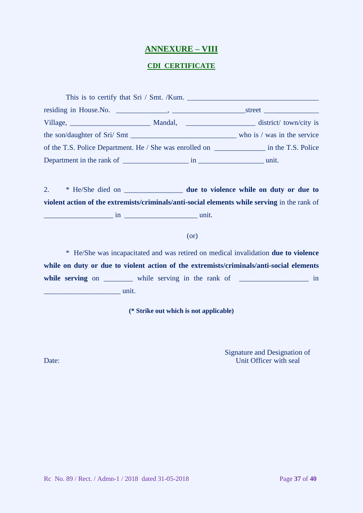# **ANNEXURE – VIII**

## **CDI CERTIFICATE**

|  | of the T.S. Police Department. He / She was enrolled on __________________ in the T.S. Police |
|--|-----------------------------------------------------------------------------------------------|
|  |                                                                                               |

2. \* He/She died on \_\_\_\_\_\_\_\_\_\_\_\_\_\_\_\_ **due to violence while on duty or due to violent action of the extremists/criminals/anti-social elements while serving** in the rank of \_\_\_\_\_\_\_\_\_\_\_\_\_\_\_\_\_\_\_ in \_\_\_\_\_\_\_\_\_\_\_\_\_\_\_\_\_\_\_\_ unit.

### (or)

\* He/She was incapacitated and was retired on medical invalidation **due to violence while on duty or due to violent action of the extremists/criminals/anti-social elements**  while serving on \_\_\_\_\_\_\_\_ while serving in the rank of \_\_\_\_\_\_\_\_\_\_\_\_\_\_\_\_\_\_\_\_ in  $\frac{1}{2}$  unit.

**(\* Strike out which is not applicable)**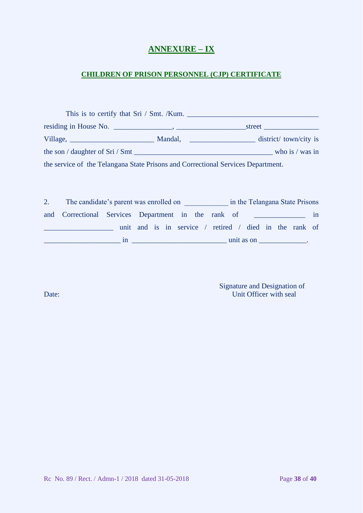# **ANNEXURE – IX**

# **CHILDREN OF PRISON PERSONNEL (CJP) CERTIFICATE**

| This is to certify that Sri / Smt. /Kum.                                         |  |  |                    |  |  |
|----------------------------------------------------------------------------------|--|--|--------------------|--|--|
|                                                                                  |  |  |                    |  |  |
|                                                                                  |  |  |                    |  |  |
|                                                                                  |  |  | who is $/\$ was in |  |  |
| the service of the Telangana State Prisons and Correctional Services Department. |  |  |                    |  |  |

| The candidate's parent was enrolled on              |    |                                                        |  |  |  |  |                                              | in the Telangana State Prisons |  |    |
|-----------------------------------------------------|----|--------------------------------------------------------|--|--|--|--|----------------------------------------------|--------------------------------|--|----|
| and Correctional Services Department in the rank of |    |                                                        |  |  |  |  | <u> 1989 - John Stein, Amerikaansk konst</u> |                                |  | 1n |
|                                                     |    | unit and is in service / retired / died in the rank of |  |  |  |  |                                              |                                |  |    |
|                                                     | ın |                                                        |  |  |  |  | unit as on                                   |                                |  |    |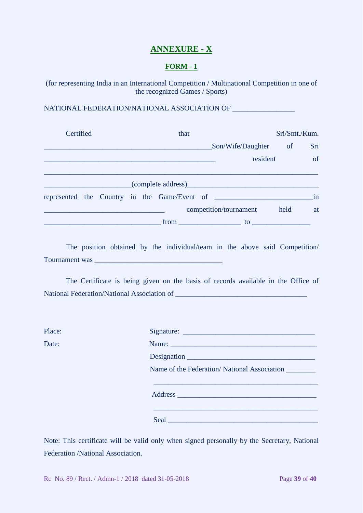# **ANNEXURE - X**

# **FORM - 1**

(for representing India in an International Competition / Multinational Competition in one of the recognized Games / Sports)

NATIONAL FEDERATION/NATIONAL ASSOCIATION OF \_\_\_\_\_\_\_\_\_\_\_\_\_\_\_\_\_

| Certified |  |  | that |                                              |          | Sri/Smt./Kum.                |               |
|-----------|--|--|------|----------------------------------------------|----------|------------------------------|---------------|
|           |  |  |      | Son/Wife/Daughter of                         |          |                              | Sri           |
|           |  |  |      |                                              | resident |                              | <sub>of</sub> |
|           |  |  |      |                                              |          |                              |               |
|           |  |  |      | represented the Country in the Game/Event of |          |                              | in            |
|           |  |  |      | competition/tournament held                  |          |                              | at            |
|           |  |  |      |                                              |          | $\mathsf{to}$ $\blacksquare$ |               |

The position obtained by the individual/team in the above said Competition/ Tournament was \_\_\_\_\_\_\_\_\_\_\_\_\_\_\_\_\_\_\_\_\_\_\_\_\_\_\_\_\_\_\_\_\_\_\_

The Certificate is being given on the basis of records available in the Office of National Federation/National Association of \_\_\_\_\_\_\_\_\_\_\_\_\_\_\_\_\_\_\_\_\_\_\_\_\_\_\_\_\_\_\_\_\_\_\_\_

| Place: |  |
|--------|--|
|--------|--|

| Place: |                                             |
|--------|---------------------------------------------|
| Date:  | Name:                                       |
|        |                                             |
|        | Name of the Federation/National Association |
|        |                                             |
|        |                                             |
|        |                                             |

Note: This certificate will be valid only when signed personally by the Secretary, National Federation /National Association.

Rc No. 89 / Rect. / Admn-1 / 2018 dated 31-05-2018 Page **39** of **40**